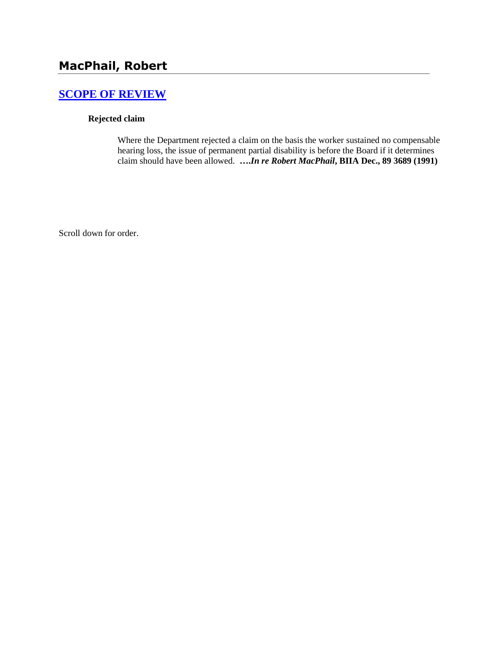# **[SCOPE OF REVIEW](http://www.biia.wa.gov/SDSubjectIndex.html#SCOPE_OF_REVIEW)**

### **Rejected claim**

Where the Department rejected a claim on the basis the worker sustained no compensable hearing loss, the issue of permanent partial disability is before the Board if it determines claim should have been allowed. **….***In re Robert MacPhail***, BIIA Dec., 89 3689 (1991)** 

Scroll down for order.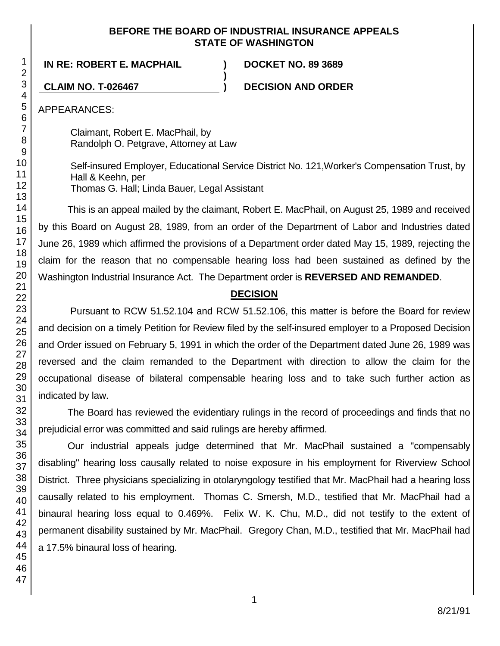### **BEFORE THE BOARD OF INDUSTRIAL INSURANCE APPEALS STATE OF WASHINGTON**

**)**

**IN RE: ROBERT E. MACPHAIL ) DOCKET NO. 89 3689**

**CLAIM NO. T-026467 ) DECISION AND ORDER**

APPEARANCES:

Claimant, Robert E. MacPhail, by Randolph O. Petgrave, Attorney at Law

Self-insured Employer, Educational Service District No. 121,Worker's Compensation Trust, by Hall & Keehn, per Thomas G. Hall; Linda Bauer, Legal Assistant

This is an appeal mailed by the claimant, Robert E. MacPhail, on August 25, 1989 and received by this Board on August 28, 1989, from an order of the Department of Labor and Industries dated June 26, 1989 which affirmed the provisions of a Department order dated May 15, 1989, rejecting the claim for the reason that no compensable hearing loss had been sustained as defined by the Washington Industrial Insurance Act. The Department order is **REVERSED AND REMANDED**.

## **DECISION**

Pursuant to RCW 51.52.104 and RCW 51.52.106, this matter is before the Board for review and decision on a timely Petition for Review filed by the self-insured employer to a Proposed Decision and Order issued on February 5, 1991 in which the order of the Department dated June 26, 1989 was reversed and the claim remanded to the Department with direction to allow the claim for the occupational disease of bilateral compensable hearing loss and to take such further action as indicated by law.

The Board has reviewed the evidentiary rulings in the record of proceedings and finds that no prejudicial error was committed and said rulings are hereby affirmed.

Our industrial appeals judge determined that Mr. MacPhail sustained a "compensably disabling" hearing loss causally related to noise exposure in his employment for Riverview School District. Three physicians specializing in otolaryngology testified that Mr. MacPhail had a hearing loss causally related to his employment. Thomas C. Smersh, M.D., testified that Mr. MacPhail had a binaural hearing loss equal to 0.469%. Felix W. K. Chu, M.D., did not testify to the extent of permanent disability sustained by Mr. MacPhail. Gregory Chan, M.D., testified that Mr. MacPhail had a 17.5% binaural loss of hearing.

1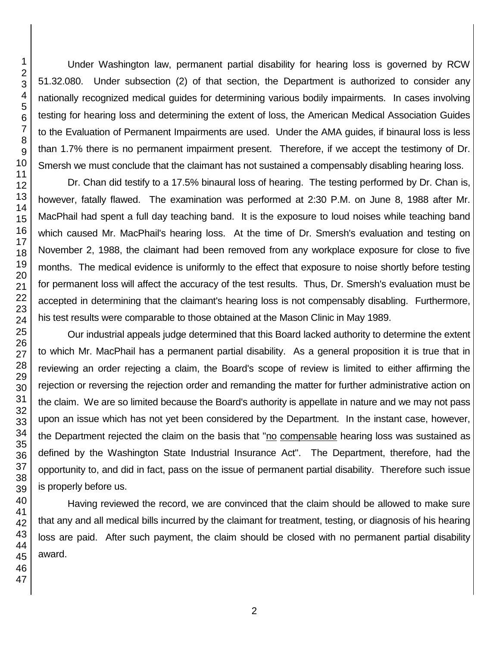Under Washington law, permanent partial disability for hearing loss is governed by RCW 51.32.080. Under subsection (2) of that section, the Department is authorized to consider any nationally recognized medical guides for determining various bodily impairments. In cases involving testing for hearing loss and determining the extent of loss, the American Medical Association Guides to the Evaluation of Permanent Impairments are used. Under the AMA guides, if binaural loss is less than 1.7% there is no permanent impairment present. Therefore, if we accept the testimony of Dr. Smersh we must conclude that the claimant has not sustained a compensably disabling hearing loss.

Dr. Chan did testify to a 17.5% binaural loss of hearing. The testing performed by Dr. Chan is, however, fatally flawed. The examination was performed at 2:30 P.M. on June 8, 1988 after Mr. MacPhail had spent a full day teaching band. It is the exposure to loud noises while teaching band which caused Mr. MacPhail's hearing loss. At the time of Dr. Smersh's evaluation and testing on November 2, 1988, the claimant had been removed from any workplace exposure for close to five months. The medical evidence is uniformly to the effect that exposure to noise shortly before testing for permanent loss will affect the accuracy of the test results. Thus, Dr. Smersh's evaluation must be accepted in determining that the claimant's hearing loss is not compensably disabling. Furthermore, his test results were comparable to those obtained at the Mason Clinic in May 1989.

Our industrial appeals judge determined that this Board lacked authority to determine the extent to which Mr. MacPhail has a permanent partial disability. As a general proposition it is true that in reviewing an order rejecting a claim, the Board's scope of review is limited to either affirming the rejection or reversing the rejection order and remanding the matter for further administrative action on the claim. We are so limited because the Board's authority is appellate in nature and we may not pass upon an issue which has not yet been considered by the Department. In the instant case, however, the Department rejected the claim on the basis that "no compensable hearing loss was sustained as defined by the Washington State Industrial Insurance Act". The Department, therefore, had the opportunity to, and did in fact, pass on the issue of permanent partial disability. Therefore such issue is properly before us.

Having reviewed the record, we are convinced that the claim should be allowed to make sure that any and all medical bills incurred by the claimant for treatment, testing, or diagnosis of his hearing loss are paid. After such payment, the claim should be closed with no permanent partial disability award.